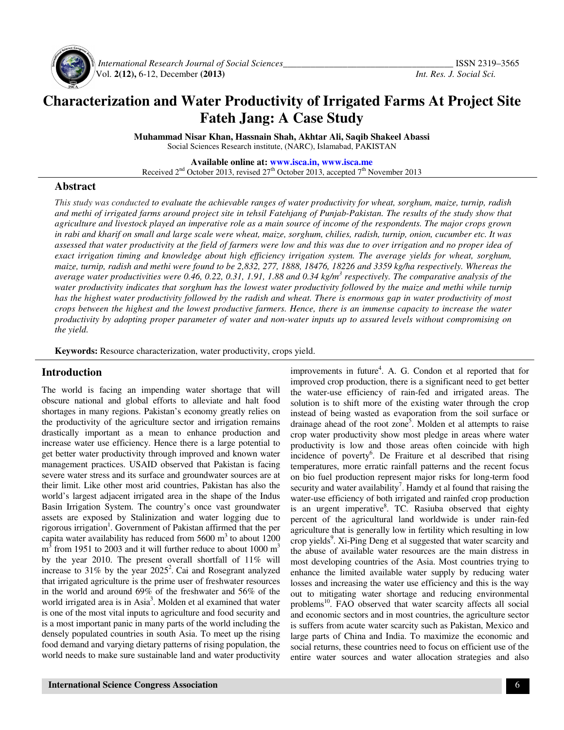

 *International Research Journal of Social Sciences\_\_\_\_\_\_\_\_\_\_\_\_\_\_\_\_\_\_\_\_\_\_\_\_\_\_\_\_\_\_\_\_\_\_\_\_\_* ISSN 2319–3565 Vol. **2(12),** 6-12, December **(2013)** *Int. Res. J. Social Sci.*

# **Characterization and Water Productivity of Irrigated Farms At Project Site Fateh Jang: A Case Study**

**Muhammad Nisar Khan, Hassnain Shah, Akhtar Ali, Saqib Shakeel Abassi**  Social Sciences Research institute, (NARC), Islamabad, PAKISTAN

**Available online at: www.isca.in, www.isca.me** Received  $2<sup>nd</sup>$  October 2013, revised  $27<sup>th</sup>$  October 2013, accepted  $7<sup>th</sup>$  November 2013

#### **Abstract**

*This study was conducted to evaluate the achievable ranges of water productivity for wheat, sorghum, maize, turnip, radish and methi of irrigated farms around project site in tehsil Fatehjang of Punjab-Pakistan. The results of the study show that agriculture and livestock played an imperative role as a main source of income of the respondents. The major crops grown in rabi and kharif on small and large scale were wheat, maize, sorghum, chilies, radish, turnip, onion, cucumber etc. It was assessed that water productivity at the field of farmers were low and this was due to over irrigation and no proper idea of exact irrigation timing and knowledge about high efficiency irrigation system. The average yields for wheat, sorghum, maize, turnip, radish and methi were found to be 2,832, 277, 1888, 18476, 18226 and 3359 kg/ha respectively. Whereas the average water productivities were 0.46, 0.22, 0.31, 1.91, 1.88 and 0.34 kg/m<sup>3</sup> respectively. The comparative analysis of the*  water productivity indicates that sorghum has the lowest water productivity followed by the maize and methi while turnip *has the highest water productivity followed by the radish and wheat. There is enormous gap in water productivity of most crops between the highest and the lowest productive farmers. Hence, there is an immense capacity to increase the water productivity by adopting proper parameter of water and non-water inputs up to assured levels without compromising on the yield.* 

**Keywords:** Resource characterization, water productivity, crops yield.

#### **Introduction**

The world is facing an impending water shortage that will obscure national and global efforts to alleviate and halt food shortages in many regions. Pakistan's economy greatly relies on the productivity of the agriculture sector and irrigation remains drastically important as a mean to enhance production and increase water use efficiency. Hence there is a large potential to get better water productivity through improved and known water management practices. USAID observed that Pakistan is facing severe water stress and its surface and groundwater sources are at their limit. Like other most arid countries, Pakistan has also the world's largest adjacent irrigated area in the shape of the Indus Basin Irrigation System. The country's once vast groundwater assets are exposed by Stalinization and water logging due to rigorous irrigation<sup>1</sup>. Government of Pakistan affirmed that the per capita water availability has reduced from  $5600 \text{ m}^3$  to about  $1200$  $m<sup>3</sup>$  from 1951 to 2003 and it will further reduce to about 1000  $m<sup>3</sup>$ by the year 2010. The present overall shortfall of 11% will increase to 31% by the year  $2025^2$ . Cai and Rosegrant analyzed that irrigated agriculture is the prime user of freshwater resources in the world and around 69% of the freshwater and 56% of the world irrigated area is in Asia<sup>3</sup>. Molden et al examined that water is one of the most vital inputs to agriculture and food security and is a most important panic in many parts of the world including the densely populated countries in south Asia. To meet up the rising food demand and varying dietary patterns of rising population, the world needs to make sure sustainable land and water productivity

improvements in future<sup>4</sup>. A. G. Condon et al reported that for improved crop production, there is a significant need to get better the water-use efficiency of rain-fed and irrigated areas. The solution is to shift more of the existing water through the crop instead of being wasted as evaporation from the soil surface or drainage ahead of the root zone<sup>5</sup>. Molden et al attempts to raise crop water productivity show most pledge in areas where water productivity is low and those areas often coincide with high incidence of poverty<sup>6</sup>. De Fraiture et al described that rising temperatures, more erratic rainfall patterns and the recent focus on bio fuel production represent major risks for long-term food security and water availability<sup>7</sup>. Hamdy et al found that raising the water-use efficiency of both irrigated and rainfed crop production is an urgent imperative<sup>8</sup>. TC. Rasiuba observed that eighty percent of the agricultural land worldwide is under rain-fed agriculture that is generally low in fertility which resulting in low crop yields<sup>9</sup>. Xi-Ping Deng et al suggested that water scarcity and the abuse of available water resources are the main distress in most developing countries of the Asia. Most countries trying to enhance the limited available water supply by reducing water losses and increasing the water use efficiency and this is the way out to mitigating water shortage and reducing environmental problems<sup>10</sup>. FAO observed that water scarcity affects all social and economic sectors and in most countries, the agriculture sector is suffers from acute water scarcity such as Pakistan, Mexico and large parts of China and India. To maximize the economic and social returns, these countries need to focus on efficient use of the entire water sources and water allocation strategies and also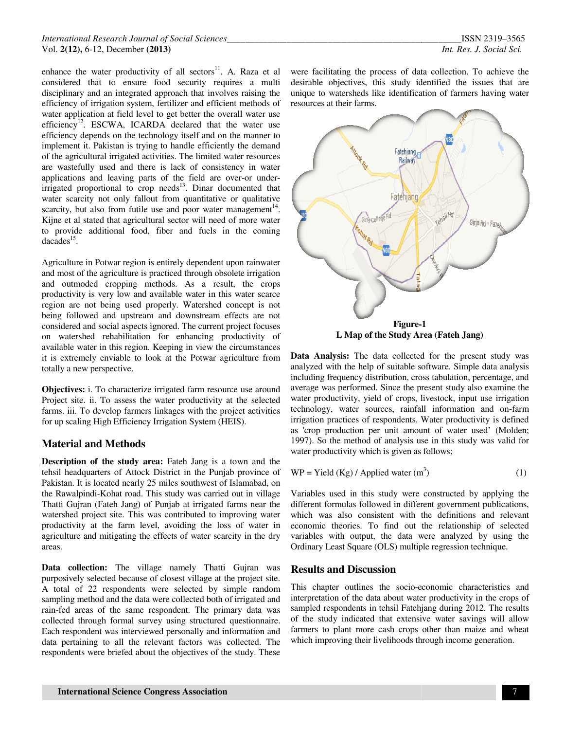enhance the water productivity of all sectors<sup>11</sup>. A. Raza et al considered that to ensure food security requires a multi disciplinary and an integrated approach that involves raising the efficiency of irrigation system, fertilizer and efficient methods of water application at field level to get better the overall water use considered that to ensure food security requires a multi disciplinary and an integrated approach that involves raising the efficiency of irrigation system, fertilizer and efficient methods of water application at field lev efficiency depends on the technology itself and on the manner to implement it. Pakistan is trying to handle efficiently the demand of the agricultural irrigated activities. The limited water resources are wastefully used and there is lack of consistency in water efficiency depends on the technology itself and on the manner to implement it. Pakistan is trying to handle efficiently the demand of the agricultural irrigated activities. The limited water resources are wastefully used a irrigated proportional to crop needs $13$ . Dinar documented that water scarcity not only fallout from quantitative or qualitative irrigated proportional to crop needs<sup>13</sup>. Dinar documented that water scarcity not only fallout from quantitative or qualitative scarcity, but also from futile use and poor water management<sup>14</sup>. Kijne et al stated that agricultural sector will need of more water to provide additional food, fiber and fuels in the coming  $dacades$ <sup>15</sup>.

Agriculture in Potwar region is entirely dependent upon rainwater and most of the agriculture is practiced through obsolete irrigation and outmoded cropping methods. As a result, the crops productivity is very low and available water in this water scarce region are not being used properly. Watershed concept is not being followed and upstream and downstream effects are not considered and social aspects ignored. The current project focuses on watershed rehabilitation for enhancing productivity of available water in this region. Keeping in view the circumstances it is extremely enviable to look at the Potwar agriculture from totally a new perspective. Kijne et al stated that agricultural sector will need of more water<br>to provide additional food, fiber and fuels in the coming<br>dacades<sup>15</sup>.<br>Agriculture in Potwar region is entirely dependent upon rainwater<br>and most of the a

**Objectives:** i. To characterize irrigated farm resource use around Project site. ii. To assess the water productivity at the selected farms. iii. To develop farmers linkages with the project activities for up scaling High Efficiency Irrigation System (HEIS).

### **Material and Methods**

**Description of the study area:** Fateh Jang is a town and the tehsil headquarters of Attock District in the Punjab Pakistan. It is located nearly 25 miles southwest of Islamabad, on the Rawalpindi-Kohat road. This study was carried out in village the Rawalpindi-Kohat road. This study was carried out in village<br>Thatti Gujran (Fateh Jang) of Punjab at irrigated farms near the watershed project site. This was contributed to improving water productivity at the farm level, avoiding the loss of water in agriculture and mitigating the effects of water scarcity in the dry areas. watershed project site. This was contributed to improving water<br>productivity at the farm level, avoiding the loss of water in<br>agriculture and mitigating the effects of water scarcity in the dry<br>areas.<br>**Data collection:** Th

purposively selected because of closest village at the project site. A total of 22 respondents were selected by simple random sampling method and the data were collected both of irrigated and rain-fed areas of the same respondent. The primary data was collected through formal survey using structured questionnaire. Each respondent was interviewed personally and information and data pertaining to all the relevant factors was collected. The respondents were briefed about the objectives of the study. These

desirable objectives, this study identified the issues that are unique to watersheds like identification of farmers having water resources at their farms. data collection. To achieve<br>identified the issues that<br>ication of farmers having wa



**Data Analysis:** The data collected for the present study was analyzed with the help of suitable software. Simple data analysis including frequency distribution, cross tabulation, percentage, and average was performed. Since the present study al water productivity, yield of crops, livestock, input use irrigation water productivity, yield of crops, livestock, input use irrigation<br>technology, water sources, rainfall information and on-farm irrigation practices of respondents. Water productivity is defined irrigation practices of respondents. Water productivity is defined as 'crop production per unit amount of water used' (Molden; 1997). So the method of analysis use in this study was valid for water productivity which is given as follows; **Data Analysis:** The data collected for the present study was analyzed with the help of suitable software. Simple data analysis including frequency distribution, cross tabulation, percentage, and average was performed. Sin

$$
WP = Yield (Kg) / Applied water (m3)
$$
 (1)

Variables used in this study were constructed by applying the different formulas followed in different government publications, which was also consistent with the definitions and relevant economic theories. To find out the relationship of selected variables with output, the data were analyzed by using the Ordinary Least Square (OLS) multiple regression technique. Variables used in this study were constructed by applying the different formulas followed in different government publications, which was also consistent with the definitions and relevant economic theories. To find out the

#### **Results and Discussion**

This chapter outlines the socio-economic characteristics and interpretation of the data about water productivity in the crops of sampled respondents in tehsil Fatehjang during 2012. The results of the study indicated that extensive water savings will allow farmers to plant more cash crops other than maize and wheat which improving their livelihoods through income generation.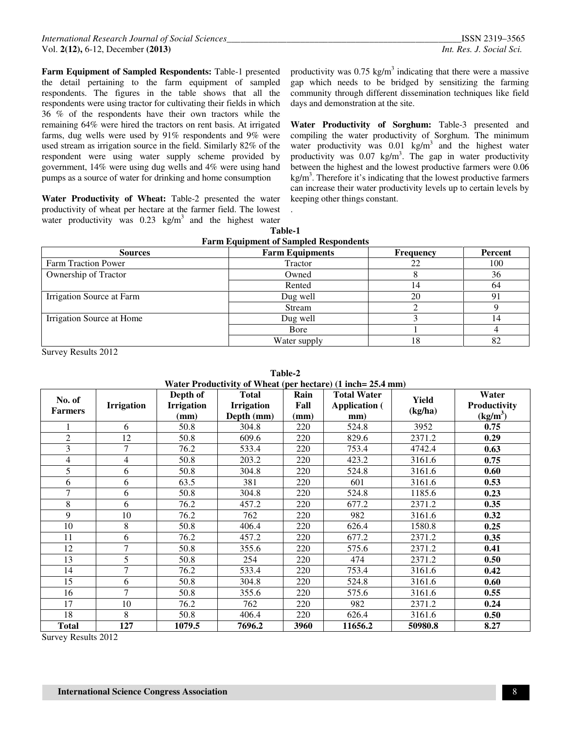**Farm Equipment of Sampled Respondents:** Table-1 presented the detail pertaining to the farm equipment of sampled respondents. The figures in the table shows that all the respondents were using tractor for cultivating their fields in which 36 % of the respondents have their own tractors while the remaining 64% were hired the tractors on rent basis. At irrigated farms, dug wells were used by 91% respondents and 9% were used stream as irrigation source in the field. Similarly 82% of the respondent were using water supply scheme provided by government, 14% were using dug wells and 4% were using hand pumps as a source of water for drinking and home consumption

**Water Productivity of Wheat:** Table-2 presented the water productivity of wheat per hectare at the farmer field. The lowest water productivity was  $0.23 \text{ kg/m}^3$  and the highest water

productivity was  $0.75 \text{ kg/m}^3$  indicating that there were a massive gap which needs to be bridged by sensitizing the farming community through different dissemination techniques like field days and demonstration at the site.

**Water Productivity of Sorghum:** Table-3 presented and compiling the water productivity of Sorghum. The minimum water productivity was  $0.01 \text{ kg/m}^3$  and the highest water productivity was  $0.07 \text{ kg/m}^3$ . The gap in water productivity between the highest and the lowest productive farmers were 0.06  $\text{kg/m}^3$ . Therefore it's indicating that the lowest productive farmers can increase their water productivity levels up to certain levels by keeping other things constant.

| . | $\cdots$ |                                              |  |
|---|----------|----------------------------------------------|--|
|   |          | Table-1                                      |  |
|   |          | <b>Farm Equipment of Sampled Respondents</b> |  |

.

| <b>Sources</b>             | <b>Farm Equipments</b> | <b>Frequency</b> | Percent |
|----------------------------|------------------------|------------------|---------|
| <b>Farm Traction Power</b> | Tractor                | 22               | 100     |
| Ownership of Tractor       | Owned                  |                  | 36      |
|                            | Rented                 | 14               | 64      |
| Irrigation Source at Farm  | Dug well               | 20               | 91      |
|                            | Stream                 |                  |         |
| Irrigation Source at Home  | Dug well               |                  | 14      |
|                            | Bore                   |                  |         |
|                            | Water supply           | 18               | 82      |

Survey Results 2012

**Table-2 Water Productivity of Wheat (per hectare) (1 inch= 25.4 mm)** 

|                |                   |                   |                   |      | $m$ aici i roductivity of velical (pci liccial c) (1 liicii– 20.4 liilli) |         |                      |
|----------------|-------------------|-------------------|-------------------|------|---------------------------------------------------------------------------|---------|----------------------|
| No. of         |                   | Depth of          | <b>Total</b>      | Rain | <b>Total Water</b>                                                        | Yield   | Water                |
|                | <b>Irrigation</b> | <b>Irrigation</b> | <b>Irrigation</b> | Fall | <b>Application</b> (                                                      |         | Productivity         |
| <b>Farmers</b> |                   | (mm)              | Depth (mm)        | (mm) | mm)                                                                       | (kg/ha) | (kg/m <sup>3</sup> ) |
|                | 6                 | 50.8              | 304.8             | 220  | 524.8                                                                     | 3952    | 0.75                 |
| $\overline{c}$ | 12                | 50.8              | 609.6             | 220  | 829.6                                                                     | 2371.2  | 0.29                 |
| 3              | 7                 | 76.2              | 533.4             | 220  | 753.4                                                                     | 4742.4  | 0.63                 |
| 4              | 4                 | 50.8              | 203.2             | 220  | 423.2                                                                     | 3161.6  | 0.75                 |
| 5              | 6                 | 50.8              | 304.8             | 220  | 524.8                                                                     | 3161.6  | 0.60                 |
| 6              | 6                 | 63.5              | 381               | 220  | 601                                                                       | 3161.6  | 0.53                 |
| $\overline{7}$ | 6                 | 50.8              | 304.8             | 220  | 524.8                                                                     | 1185.6  | 0.23                 |
| 8              | 6                 | 76.2              | 457.2             | 220  | 677.2                                                                     | 2371.2  | 0.35                 |
| 9              | 10                | 76.2              | 762               | 220  | 982                                                                       | 3161.6  | 0.32                 |
| 10             | 8                 | 50.8              | 406.4             | 220  | 626.4                                                                     | 1580.8  | 0.25                 |
| 11             | 6                 | 76.2              | 457.2             | 220  | 677.2                                                                     | 2371.2  | 0.35                 |
| 12             | 7                 | 50.8              | 355.6             | 220  | 575.6                                                                     | 2371.2  | 0.41                 |
| 13             | 5                 | 50.8              | 254               | 220  | 474                                                                       | 2371.2  | 0.50                 |
| 14             | $\tau$            | 76.2              | 533.4             | 220  | 753.4                                                                     | 3161.6  | 0.42                 |
| 15             | 6                 | 50.8              | 304.8             | 220  | 524.8                                                                     | 3161.6  | 0.60                 |
| 16             | $\tau$            | 50.8              | 355.6             | 220  | 575.6                                                                     | 3161.6  | 0.55                 |
| 17             | 10                | 76.2              | 762               | 220  | 982                                                                       | 2371.2  | 0.24                 |
| 18             | 8                 | 50.8              | 406.4             | 220  | 626.4                                                                     | 3161.6  | 0.50                 |
| <b>Total</b>   | 127               | 1079.5            | 7696.2            | 3960 | 11656.2                                                                   | 50980.8 | 8.27                 |

Survey Results 2012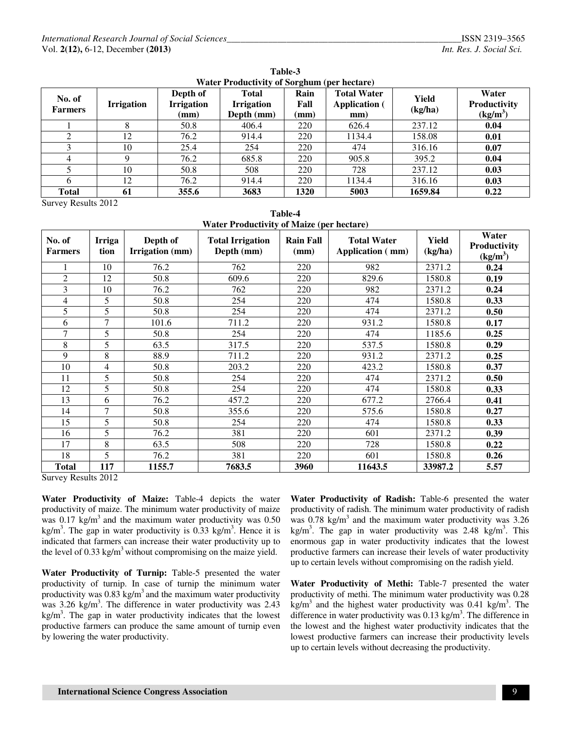| No. of<br><b>Farmers</b> | <b>Irrigation</b> | Depth of<br><b>Irrigation</b><br>$(\mathbf{mm})$ | <b>Total</b><br><b>Irrigation</b><br>Depth (mm) | Rain<br>Fall<br>(mm) | <b>Total Water</b><br><b>Application</b> (<br>mm) | Yield<br>(kg/ha) | Water<br>Productivity<br>(kg/m <sup>3</sup> ) |
|--------------------------|-------------------|--------------------------------------------------|-------------------------------------------------|----------------------|---------------------------------------------------|------------------|-----------------------------------------------|
|                          |                   | 50.8                                             | 406.4                                           | 220                  | 626.4                                             | 237.12           | 0.04                                          |
|                          | 12                | 76.2                                             | 914.4                                           | 220                  | 1134.4                                            | 158.08           | 0.01                                          |
| 3                        | 10                | 25.4                                             | 254                                             | 220                  | 474                                               | 316.16           | 0.07                                          |
|                          |                   | 76.2                                             | 685.8                                           | 220                  | 905.8                                             | 395.2            | 0.04                                          |
|                          | 10                | 50.8                                             | 508                                             | 220                  | 728                                               | 237.12           | 0.03                                          |
| 6                        | 12                | 76.2                                             | 914.4                                           | 220                  | 1134.4                                            | 316.16           | 0.03                                          |
| <b>Total</b>             | 61                | 355.6                                            | 3683                                            | 1320                 | 5003                                              | 1659.84          | 0.22                                          |

**Table-3 Water Productivity of Sorghum (per hectare)** 

Survey Results 2012

**Table-4 Water Productivity of Maize (per hectare)** 

| No. of<br><b>Farmers</b> | Irriga<br>tion | Depth of<br>Irrigation (mm) | <b>Total Irrigation</b><br>Depth (mm) | $\mathbf{r}$<br><b>Rain Fall</b><br>(mm) | <b>Total Water</b><br>Application (mm) | Yield<br>(kg/ha) | Water<br>Productivity<br>(kg/m <sup>3</sup> ) |
|--------------------------|----------------|-----------------------------|---------------------------------------|------------------------------------------|----------------------------------------|------------------|-----------------------------------------------|
|                          | 10             | 76.2                        | 762                                   | 220                                      | 982                                    | 2371.2           | 0.24                                          |
| $\overline{2}$           | 12             | 50.8                        | 609.6                                 | 220                                      | 829.6                                  | 1580.8           | 0.19                                          |
| 3                        | 10             | 76.2                        | 762                                   | 220                                      | 982                                    | 2371.2           | 0.24                                          |
| 4                        | 5              | 50.8                        | 254                                   | 220                                      | 474                                    | 1580.8           | 0.33                                          |
| 5                        | 5              | 50.8                        | 254                                   | 220                                      | 474                                    | 2371.2           | 0.50                                          |
| 6                        | 7              | 101.6                       | 711.2                                 | 220                                      | 931.2                                  | 1580.8           | 0.17                                          |
| $\overline{7}$           | 5              | 50.8                        | 254                                   | 220                                      | 474                                    | 1185.6           | 0.25                                          |
| 8                        | 5              | 63.5                        | 317.5                                 | 220                                      | 537.5                                  | 1580.8           | 0.29                                          |
| 9                        | 8              | 88.9                        | 711.2                                 | 220                                      | 931.2                                  | 2371.2           | 0.25                                          |
| 10                       | 4              | 50.8                        | 203.2                                 | 220                                      | 423.2                                  | 1580.8           | 0.37                                          |
| 11                       | 5              | 50.8                        | 254                                   | 220                                      | 474                                    | 2371.2           | 0.50                                          |
| 12                       | 5              | 50.8                        | 254                                   | 220                                      | 474                                    | 1580.8           | 0.33                                          |
| 13                       | 6              | 76.2                        | 457.2                                 | 220                                      | 677.2                                  | 2766.4           | 0.41                                          |
| 14                       | 7              | 50.8                        | 355.6                                 | 220                                      | 575.6                                  | 1580.8           | 0.27                                          |
| 15                       | 5              | 50.8                        | 254                                   | 220                                      | 474                                    | 1580.8           | 0.33                                          |
| 16                       | 5              | 76.2                        | 381                                   | 220                                      | 601                                    | 2371.2           | 0.39                                          |
| 17                       | 8              | 63.5                        | 508                                   | 220                                      | 728                                    | 1580.8           | 0.22                                          |
| 18                       | 5              | 76.2                        | 381                                   | 220                                      | 601                                    | 1580.8           | 0.26                                          |
| <b>Total</b>             | 117            | 1155.7                      | 7683.5                                | 3960                                     | 11643.5                                | 33987.2          | 5.57                                          |

Survey Results 2012

**Water Productivity of Maize:** Table-4 depicts the water productivity of maize. The minimum water productivity of maize was  $0.17 \text{ kg/m}^3$  and the maximum water productivity was  $0.50$ kg/m<sup>3</sup>. The gap in water productivity is  $0.33 \text{ kg/m}^3$ . Hence it is indicated that farmers can increase their water productivity up to the level of  $0.33 \text{ kg/m}^3$  without compromising on the maize yield.

**Water Productivity of Turnip:** Table-5 presented the water productivity of turnip. In case of turnip the minimum water productivity was  $0.83 \text{ kg/m}^3$  and the maximum water productivity was  $3.26 \text{ kg/m}^3$ . The difference in water productivity was  $2.43$  $kg/m<sup>3</sup>$ . The gap in water productivity indicates that the lowest productive farmers can produce the same amount of turnip even by lowering the water productivity.

**Water Productivity of Radish:** Table-6 presented the water productivity of radish. The minimum water productivity of radish was  $0.78 \text{ kg/m}^3$  and the maximum water productivity was  $3.26$ kg/m<sup>3</sup>. The gap in water productivity was 2.48 kg/m<sup>3</sup>. This enormous gap in water productivity indicates that the lowest productive farmers can increase their levels of water productivity up to certain levels without compromising on the radish yield.

**Water Productivity of Methi:** Table-7 presented the water productivity of methi. The minimum water productivity was 0.28  $\text{kg/m}^3$  and the highest water productivity was 0.41 kg/m<sup>3</sup>. The difference in water productivity was  $0.13 \text{ kg/m}^3$ . The difference in the lowest and the highest water productivity indicates that the lowest productive farmers can increase their productivity levels up to certain levels without decreasing the productivity.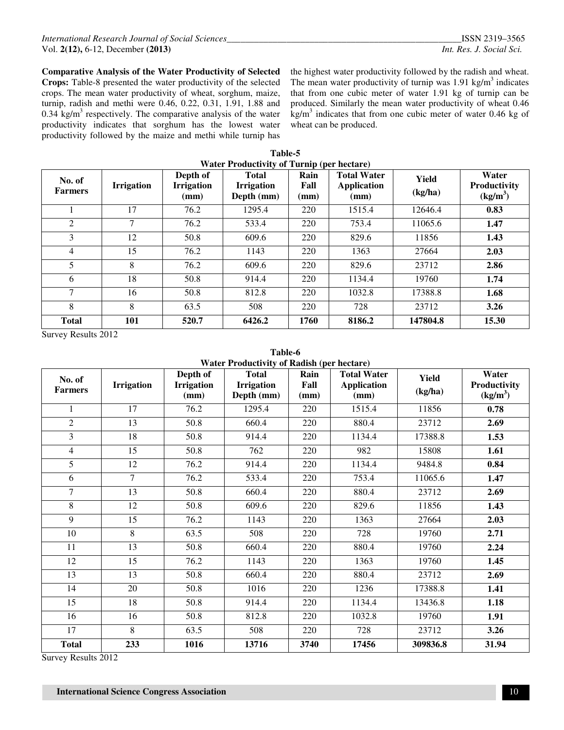**Comparative Analysis of the Water Productivity of Selected Crops:** Table-8 presented the water productivity of the selected crops. The mean water productivity of wheat, sorghum, maize, turnip, radish and methi were 0.46, 0.22, 0.31, 1.91, 1.88 and 0.34 kg/m<sup>3</sup> respectively. The comparative analysis of the water productivity indicates that sorghum has the lowest water productivity followed by the maize and methi while turnip has

the highest water productivity followed by the radish and wheat. The mean water productivity of turnip was  $1.91$  kg/m<sup>3</sup> indicates that from one cubic meter of water 1.91 kg of turnip can be produced. Similarly the mean water productivity of wheat 0.46  $\text{kg/m}^3$  indicates that from one cubic meter of water 0.46 kg of wheat can be produced.

| Table-5                                           |
|---------------------------------------------------|
| <b>Water Productivity of Turnip (per hectare)</b> |

| No. of<br><b>Farmers</b> | <b>Irrigation</b> | Depth of<br><b>Irrigation</b><br>(mm) | <b>Total</b><br><b>Irrigation</b><br>Depth (mm) | $m \sim p$ (p.m. $m \sim p$ )<br>Rain<br>Fall<br>(mm) | <b>Total Water</b><br><b>Application</b><br>(mm) | Yield<br>(kg/ha) | Water<br><b>Productivity</b><br>$(kg/m^3)$ |
|--------------------------|-------------------|---------------------------------------|-------------------------------------------------|-------------------------------------------------------|--------------------------------------------------|------------------|--------------------------------------------|
|                          | 17                | 76.2                                  | 1295.4                                          | 220                                                   | 1515.4                                           | 12646.4          | 0.83                                       |
| 2                        | $\tau$            | 76.2                                  | 533.4                                           | 220                                                   | 753.4                                            | 11065.6          | 1.47                                       |
| 3                        | 12                | 50.8                                  | 609.6                                           | 220                                                   | 829.6                                            | 11856            | 1.43                                       |
| 4                        | 15                | 76.2                                  | 1143                                            | 220                                                   | 1363                                             | 27664            | 2.03                                       |
| 5                        | 8                 | 76.2                                  | 609.6                                           | 220                                                   | 829.6                                            | 23712            | 2.86                                       |
| 6                        | 18                | 50.8                                  | 914.4                                           | 220                                                   | 1134.4                                           | 19760            | 1.74                                       |
| 7                        | 16                | 50.8                                  | 812.8                                           | 220                                                   | 1032.8                                           | 17388.8          | 1.68                                       |
| 8                        | 8                 | 63.5                                  | 508                                             | 220                                                   | 728                                              | 23712            | 3.26                                       |
| <b>Total</b>             | 101               | 520.7                                 | 6426.2                                          | 1760                                                  | 8186.2                                           | 147804.8         | 15.30                                      |

Survey Results 2012

| Table-6                                    |  |  |  |  |  |  |
|--------------------------------------------|--|--|--|--|--|--|
| Water Productivity of Radish (per hectare) |  |  |  |  |  |  |

| No. of<br><b>Farmers</b> | <b>Irrigation</b> | Depth of<br><b>Irrigation</b><br>(mm) | <b>Total</b><br><b>Irrigation</b><br>Depth (mm) | Rain<br>Fall<br>(mm) | <b>Total Water</b><br><b>Application</b><br>(mm) | <b>Yield</b><br>(kg/ha) | Water<br>Productivity<br>(kg/m <sup>3</sup> ) |
|--------------------------|-------------------|---------------------------------------|-------------------------------------------------|----------------------|--------------------------------------------------|-------------------------|-----------------------------------------------|
| 1                        | 17                | 76.2                                  | 1295.4                                          | 220                  | 1515.4                                           | 11856                   | 0.78                                          |
| $\overline{2}$           | 13                | 50.8                                  | 660.4                                           | 220                  | 880.4                                            | 23712                   | 2.69                                          |
| 3                        | 18                | 50.8                                  | 914.4                                           | 220                  | 1134.4                                           | 17388.8                 | 1.53                                          |
| $\overline{4}$           | 15                | 50.8                                  | 762                                             | 220                  | 982                                              | 15808                   | 1.61                                          |
| 5                        | 12                | 76.2                                  | 914.4                                           | 220                  | 1134.4                                           | 9484.8                  | 0.84                                          |
| 6                        | $\tau$            | 76.2                                  | 533.4                                           | 220                  | 753.4                                            | 11065.6                 | 1.47                                          |
| 7                        | 13                | 50.8                                  | 660.4                                           | 220                  | 880.4                                            | 23712                   | 2.69                                          |
| 8                        | 12                | 50.8                                  | 609.6                                           | 220                  | 829.6                                            | 11856                   | 1.43                                          |
| 9                        | 15                | 76.2                                  | 1143                                            | 220                  | 1363                                             | 27664                   | 2.03                                          |
| 10                       | 8                 | 63.5                                  | 508                                             | 220                  | 728                                              | 19760                   | 2.71                                          |
| 11                       | 13                | 50.8                                  | 660.4                                           | 220                  | 880.4                                            | 19760                   | 2.24                                          |
| 12                       | 15                | 76.2                                  | 1143                                            | 220                  | 1363                                             | 19760                   | 1.45                                          |
| 13                       | 13                | 50.8                                  | 660.4                                           | 220                  | 880.4                                            | 23712                   | 2.69                                          |
| 14                       | 20                | 50.8                                  | 1016                                            | 220                  | 1236                                             | 17388.8                 | 1.41                                          |
| 15                       | 18                | 50.8                                  | 914.4                                           | 220                  | 1134.4                                           | 13436.8                 | 1.18                                          |
| 16                       | 16                | 50.8                                  | 812.8                                           | 220                  | 1032.8                                           | 19760                   | 1.91                                          |
| 17                       | 8                 | 63.5                                  | 508                                             | 220                  | 728                                              | 23712                   | 3.26                                          |
| <b>Total</b>             | 233               | 1016                                  | 13716                                           | 3740                 | 17456                                            | 309836.8                | 31.94                                         |

Survey Results 2012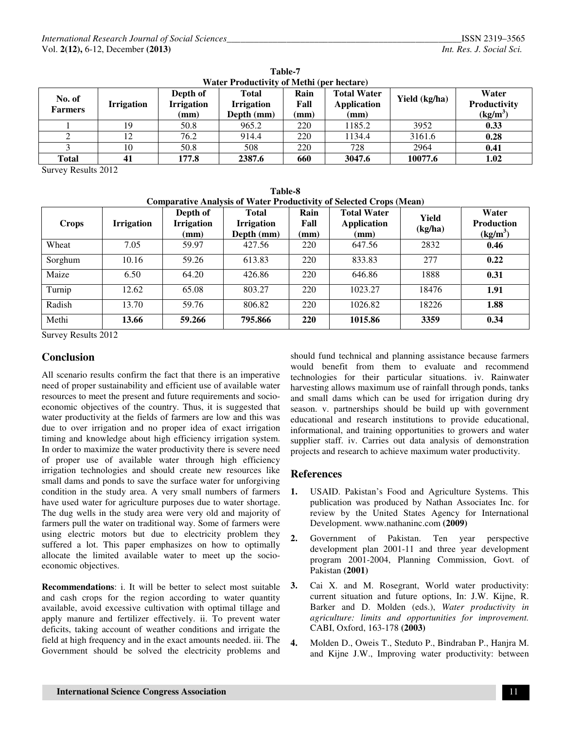| No. of<br><b>Farmers</b> | <b>Irrigation</b> | Depth of<br><b>Irrigation</b><br>(mm) | Total<br><b>Irrigation</b><br>Depth (mm) | Rain<br>Fall<br>(mm) | <b>Total Water</b><br>Application<br>(mm) | Yield (kg/ha) | Water<br><b>Productivity</b><br>$(kg/m^3)$ |
|--------------------------|-------------------|---------------------------------------|------------------------------------------|----------------------|-------------------------------------------|---------------|--------------------------------------------|
|                          | 19                | 50.8                                  | 965.2                                    | 220                  | 1185.2                                    | 3952          | 0.33                                       |
|                          |                   | 76.2                                  | 914.4                                    | 220                  | 1134.4                                    | 3161.6        | 0.28                                       |
|                          | 10                | 50.8                                  | 508                                      | 220                  | 728                                       | 2964          | 0.41                                       |
| Total                    | 41                | 177.8                                 | 2387.6                                   | 660                  | 3047.6                                    | 10077.6       | 1.02                                       |

**Table-7 Water Productivity of Methi (per hectare)** 

Survey Results 2012

| <b>Table-8</b>                                                             |
|----------------------------------------------------------------------------|
| <b>Comparative Analysis of Water Productivity of Selected Crops (Mean)</b> |

| <b>Crops</b> | <b>Irrigation</b> | Depth of<br><b>Irrigation</b><br>(mm) | Total<br><b>Irrigation</b><br>Depth (mm) | Rain<br>Fall<br>(mm) | <b>Total Water</b><br><b>Application</b><br>(mm) | Yield<br>(kg/ha) | Water<br><b>Production</b><br>(kg/m <sup>3</sup> ) |
|--------------|-------------------|---------------------------------------|------------------------------------------|----------------------|--------------------------------------------------|------------------|----------------------------------------------------|
| Wheat        | 7.05              | 59.97                                 | 427.56                                   | 220                  | 647.56                                           | 2832             | 0.46                                               |
| Sorghum      | 10.16             | 59.26                                 | 613.83                                   | 220                  | 833.83                                           | 277              | 0.22                                               |
| Maize        | 6.50              | 64.20                                 | 426.86                                   | 220                  | 646.86                                           | 1888             | 0.31                                               |
| Turnip       | 12.62             | 65.08                                 | 803.27                                   | 220                  | 1023.27                                          | 18476            | 1.91                                               |
| Radish       | 13.70             | 59.76                                 | 806.82                                   | 220                  | 1026.82                                          | 18226            | 1.88                                               |
| Methi        | 13.66             | 59.266                                | 795.866                                  | <b>220</b>           | 1015.86                                          | 3359             | 0.34                                               |

Survey Results 2012

# **Conclusion**

All scenario results confirm the fact that there is an imperative need of proper sustainability and efficient use of available water resources to meet the present and future requirements and socioeconomic objectives of the country. Thus, it is suggested that water productivity at the fields of farmers are low and this was due to over irrigation and no proper idea of exact irrigation timing and knowledge about high efficiency irrigation system. In order to maximize the water productivity there is severe need of proper use of available water through high efficiency irrigation technologies and should create new resources like small dams and ponds to save the surface water for unforgiving condition in the study area. A very small numbers of farmers have used water for agriculture purposes due to water shortage. The dug wells in the study area were very old and majority of farmers pull the water on traditional way. Some of farmers were using electric motors but due to electricity problem they suffered a lot. This paper emphasizes on how to optimally allocate the limited available water to meet up the socioeconomic objectives.

**Recommendations**: i. It will be better to select most suitable and cash crops for the region according to water quantity available, avoid excessive cultivation with optimal tillage and apply manure and fertilizer effectively. ii. To prevent water deficits, taking account of weather conditions and irrigate the field at high frequency and in the exact amounts needed. iii. The Government should be solved the electricity problems and

should fund technical and planning assistance because farmers would benefit from them to evaluate and recommend technologies for their particular situations. iv. Rainwater harvesting allows maximum use of rainfall through ponds, tanks and small dams which can be used for irrigation during dry season. v. partnerships should be build up with government educational and research institutions to provide educational, informational, and training opportunities to growers and water supplier staff. iv. Carries out data analysis of demonstration projects and research to achieve maximum water productivity.

## **References**

- **1.** USAID. Pakistan's Food and Agriculture Systems. This publication was produced by Nathan Associates Inc. for review by the United States Agency for International Development. www.nathaninc.com **(2009)**
- **2.** Government of Pakistan. Ten year perspective development plan 2001-11 and three year development program 2001-2004, Planning Commission, Govt. of Pakistan **(2001)**
- **3.** Cai X. and M. Rosegrant, World water productivity: current situation and future options, In: J.W. Kijne, R. Barker and D. Molden (eds.), *Water productivity in agriculture: limits and opportunities for improvement.*  CABI, Oxford, 163-178 **(2003)**
- **4.** Molden D., Oweis T., Steduto P., Bindraban P., Hanjra M. and Kijne J.W., Improving water productivity: between